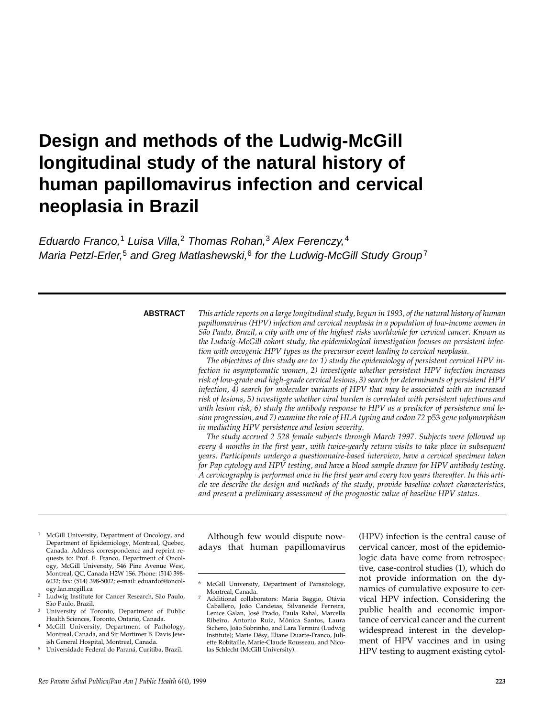# **Design and methods of the Ludwig-McGill longitudinal study of the natural history of human papillomavirus infection and cervical neoplasia in Brazil**

Eduardo Franco,<sup>1</sup> Luisa Villa,<sup>2</sup> Thomas Rohan,<sup>3</sup> Alex Ferenczy,<sup>4</sup> Maria Petzl-Erler,<sup>5</sup> and Greg Matlashewski,<sup>6</sup> for the Ludwig-McGill Study Group<sup>7</sup>

### **ABSTRACT**

*This article reports on a large longitudinal study, begun in 1993, of the natural history of human papillomavirus (HPV) infection and cervical neoplasia in a population of low-income women in São Paulo, Brazil, a city with one of the highest risks worldwide for cervical cancer. Known as the Ludwig-McGill cohort study, the epidemiological investigation focuses on persistent infection with oncogenic HPV types as the precursor event leading to cervical neoplasia.* 

*The objectives of this study are to: 1) study the epidemiology of persistent cervical HPV infection in asymptomatic women, 2) investigate whether persistent HPV infection increases risk of low-grade and high-grade cervical lesions, 3) search for determinants of persistent HPV infection, 4) search for molecular variants of HPV that may be associated with an increased risk of lesions, 5) investigate whether viral burden is correlated with persistent infections and with lesion risk, 6) study the antibody response to HPV as a predictor of persistence and lesion progression, and 7) examine the role of HLA typing and codon 72* p53 *gene polymorphism in mediating HPV persistence and lesion severity.* 

*The study accrued 2 528 female subjects through March 1997. Subjects were followed up every 4 months in the first year, with twice-yearly return visits to take place in subsequent years. Participants undergo a questionnaire-based interview, have a cervical specimen taken for Pap cytology and HPV testing, and have a blood sample drawn for HPV antibody testing. A cervicography is performed once in the first year and every two years thereafter. In this article we describe the design and methods of the study, provide baseline cohort characteristics, and present a preliminary assessment of the prognostic value of baseline HPV status.*

- McGill University, Department of Oncology, and Department of Epidemiology, Montreal, Quebec, Canada. Address correspondence and reprint requests to: Prof. E. Franco, Department of Oncology, McGill University, 546 Pine Avenue West, Montreal, QC, Canada H2W 1S6. Phone: (514) 398- 6032; fax: (514) 398-5002; e-mail: eduardof@oncology.lan.mcgill.ca
- Ludwig Institute for Cancer Research, São Paulo, São Paulo, Brazil.
- University of Toronto, Department of Public Health Sciences, Toronto, Ontario, Canada.
- McGill University, Department of Pathology, Montreal, Canada, and Sir Mortimer B. Davis Jewish General Hospital, Montreal, Canada.
- <sup>5</sup> Universidade Federal do Paraná, Curitiba, Brazil.

Although few would dispute nowadays that human papillomavirus (HPV) infection is the central cause of cervical cancer, most of the epidemiologic data have come from retrospective, case-control studies (1), which do not provide information on the dynamics of cumulative exposure to cervical HPV infection. Considering the public health and economic importance of cervical cancer and the current widespread interest in the development of HPV vaccines and in using HPV testing to augment existing cytol-

McGill University, Department of Parasitology, Montreal, Canada.

<sup>7</sup> Additional collaborators: Maria Baggio, Otávia Caballero, João Candeias, Silvaneide Ferreira, Lenice Galan, José Prado, Paula Rahal, Marcella Ribeiro, Antonio Ruiz, Mônica Santos, Laura Sichero, João Sobrinho, and Lara Termini (Ludwig Institute); Marie Désy, Eliane Duarte-Franco, Juliette Robitaille, Marie-Claude Rousseau, and Nicolas Schlecht (McGill University).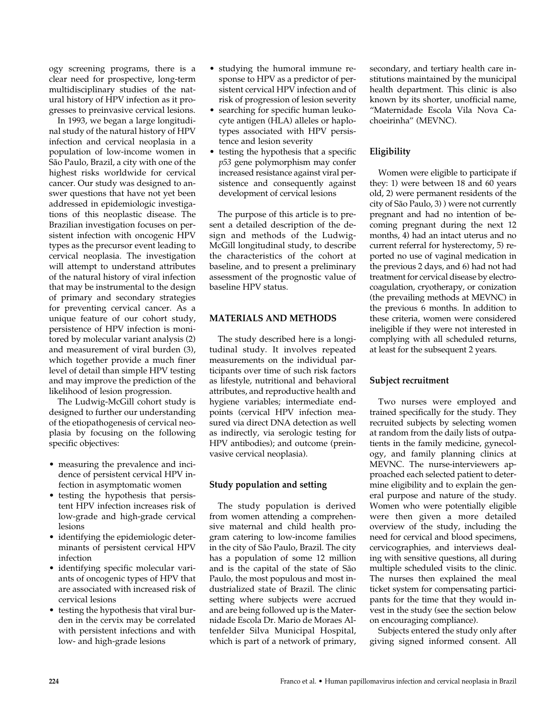ogy screening programs, there is a clear need for prospective, long-term multidisciplinary studies of the natural history of HPV infection as it progresses to preinvasive cervical lesions.

In 1993, we began a large longitudinal study of the natural history of HPV infection and cervical neoplasia in a population of low-income women in São Paulo, Brazil, a city with one of the highest risks worldwide for cervical cancer. Our study was designed to answer questions that have not yet been addressed in epidemiologic investigations of this neoplastic disease. The Brazilian investigation focuses on persistent infection with oncogenic HPV types as the precursor event leading to cervical neoplasia. The investigation will attempt to understand attributes of the natural history of viral infection that may be instrumental to the design of primary and secondary strategies for preventing cervical cancer. As a unique feature of our cohort study, persistence of HPV infection is monitored by molecular variant analysis (2) and measurement of viral burden (3), which together provide a much finer level of detail than simple HPV testing and may improve the prediction of the likelihood of lesion progression.

The Ludwig-McGill cohort study is designed to further our understanding of the etiopathogenesis of cervical neoplasia by focusing on the following specific objectives:

- measuring the prevalence and incidence of persistent cervical HPV infection in asymptomatic women
- testing the hypothesis that persistent HPV infection increases risk of low-grade and high-grade cervical lesions
- identifying the epidemiologic determinants of persistent cervical HPV infection
- identifying specific molecular variants of oncogenic types of HPV that are associated with increased risk of cervical lesions
- testing the hypothesis that viral burden in the cervix may be correlated with persistent infections and with low- and high-grade lesions
- studying the humoral immune response to HPV as a predictor of persistent cervical HPV infection and of risk of progression of lesion severity
- searching for specific human leukocyte antigen (HLA) alleles or haplotypes associated with HPV persistence and lesion severity
- testing the hypothesis that a specific *p53* gene polymorphism may confer increased resistance against viral persistence and consequently against development of cervical lesions

The purpose of this article is to present a detailed description of the design and methods of the Ludwig-McGill longitudinal study, to describe the characteristics of the cohort at baseline, and to present a preliminary assessment of the prognostic value of baseline HPV status.

# **MATERIALS AND METHODS**

The study described here is a longitudinal study. It involves repeated measurements on the individual participants over time of such risk factors as lifestyle, nutritional and behavioral attributes, and reproductive health and hygiene variables; intermediate endpoints (cervical HPV infection measured via direct DNA detection as well as indirectly, via serologic testing for HPV antibodies); and outcome (preinvasive cervical neoplasia).

# **Study population and setting**

The study population is derived from women attending a comprehensive maternal and child health program catering to low-income families in the city of São Paulo, Brazil. The city has a population of some 12 million and is the capital of the state of São Paulo, the most populous and most industrialized state of Brazil. The clinic setting where subjects were accrued and are being followed up is the Maternidade Escola Dr. Mario de Moraes Altenfelder Silva Municipal Hospital, which is part of a network of primary,

secondary, and tertiary health care institutions maintained by the municipal health department. This clinic is also known by its shorter, unofficial name, "Maternidade Escola Vila Nova Cachoeirinha" (MEVNC).

# **Eligibility**

Women were eligible to participate if they: 1) were between 18 and 60 years old, 2) were permanent residents of the city of São Paulo, 3) ) were not currently pregnant and had no intention of becoming pregnant during the next 12 months, 4) had an intact uterus and no current referral for hysterectomy, 5) reported no use of vaginal medication in the previous 2 days, and 6) had not had treatment for cervical disease by electrocoagulation, cryotherapy, or conization (the prevailing methods at MEVNC) in the previous 6 months. In addition to these criteria, women were considered ineligible if they were not interested in complying with all scheduled returns, at least for the subsequent 2 years.

# **Subject recruitment**

Two nurses were employed and trained specifically for the study. They recruited subjects by selecting women at random from the daily lists of outpatients in the family medicine, gynecology, and family planning clinics at MEVNC. The nurse-interviewers approached each selected patient to determine eligibility and to explain the general purpose and nature of the study. Women who were potentially eligible were then given a more detailed overview of the study, including the need for cervical and blood specimens, cervicographies, and interviews dealing with sensitive questions, all during multiple scheduled visits to the clinic. The nurses then explained the meal ticket system for compensating participants for the time that they would invest in the study (see the section below on encouraging compliance).

Subjects entered the study only after giving signed informed consent. All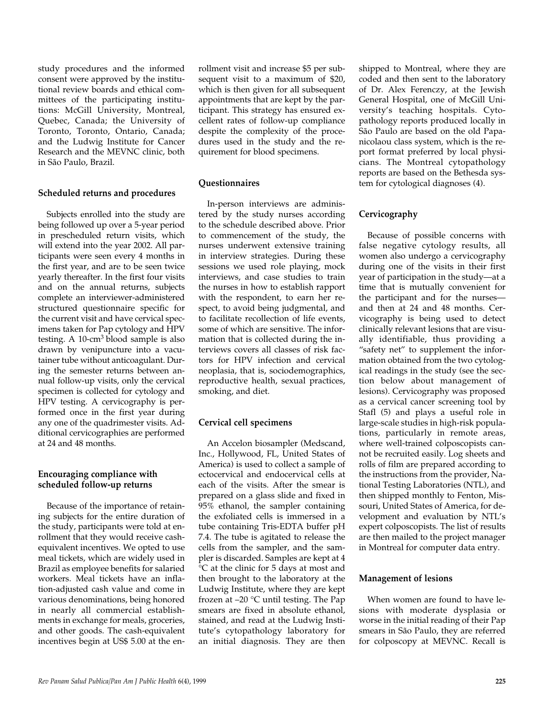study procedures and the informed consent were approved by the institutional review boards and ethical committees of the participating institutions: McGill University, Montreal, Quebec, Canada; the University of Toronto, Toronto, Ontario, Canada; and the Ludwig Institute for Cancer Research and the MEVNC clinic, both in São Paulo, Brazil.

### **Scheduled returns and procedures**

Subjects enrolled into the study are being followed up over a 5-year period in prescheduled return visits, which will extend into the year 2002. All participants were seen every 4 months in the first year, and are to be seen twice yearly thereafter. In the first four visits and on the annual returns, subjects complete an interviewer-administered structured questionnaire specific for the current visit and have cervical specimens taken for Pap cytology and HPV testing. A 10-cm3 blood sample is also drawn by venipuncture into a vacutainer tube without anticoagulant. During the semester returns between annual follow-up visits, only the cervical specimen is collected for cytology and HPV testing. A cervicography is performed once in the first year during any one of the quadrimester visits. Additional cervicographies are performed at 24 and 48 months.

### **Encouraging compliance with scheduled follow-up returns**

Because of the importance of retaining subjects for the entire duration of the study, participants were told at enrollment that they would receive cashequivalent incentives. We opted to use meal tickets, which are widely used in Brazil as employee benefits for salaried workers. Meal tickets have an inflation-adjusted cash value and come in various denominations, being honored in nearly all commercial establishments in exchange for meals, groceries, and other goods. The cash-equivalent incentives begin at US\$ 5.00 at the en-

rollment visit and increase \$5 per subsequent visit to a maximum of \$20, which is then given for all subsequent appointments that are kept by the participant. This strategy has ensured excellent rates of follow-up compliance despite the complexity of the procedures used in the study and the requirement for blood specimens.

### **Questionnaires**

In-person interviews are administered by the study nurses according to the schedule described above. Prior to commencement of the study, the nurses underwent extensive training in interview strategies. During these sessions we used role playing, mock interviews, and case studies to train the nurses in how to establish rapport with the respondent, to earn her respect, to avoid being judgmental, and to facilitate recollection of life events, some of which are sensitive. The information that is collected during the interviews covers all classes of risk factors for HPV infection and cervical neoplasia, that is, sociodemographics, reproductive health, sexual practices, smoking, and diet.

### **Cervical cell specimens**

An Accelon biosampler (Medscand, Inc., Hollywood, FL, United States of America) is used to collect a sample of ectocervical and endocervical cells at each of the visits. After the smear is prepared on a glass slide and fixed in 95% ethanol, the sampler containing the exfoliated cells is immersed in a tube containing Tris-EDTA buffer pH 7.4. The tube is agitated to release the cells from the sampler, and the sampler is discarded. Samples are kept at 4 °C at the clinic for 5 days at most and then brought to the laboratory at the Ludwig Institute, where they are kept frozen at –20 °C until testing. The Pap smears are fixed in absolute ethanol, stained, and read at the Ludwig Institute's cytopathology laboratory for an initial diagnosis. They are then

shipped to Montreal, where they are coded and then sent to the laboratory of Dr. Alex Ferenczy, at the Jewish General Hospital, one of McGill University's teaching hospitals. Cytopathology reports produced locally in São Paulo are based on the old Papanicolaou class system, which is the report format preferred by local physicians. The Montreal cytopathology reports are based on the Bethesda system for cytological diagnoses (4).

### **Cervicography**

Because of possible concerns with false negative cytology results, all women also undergo a cervicography during one of the visits in their first year of participation in the study—at a time that is mutually convenient for the participant and for the nurses and then at 24 and 48 months. Cervicography is being used to detect clinically relevant lesions that are visually identifiable, thus providing a "safety net" to supplement the information obtained from the two cytological readings in the study (see the section below about management of lesions). Cervicography was proposed as a cervical cancer screening tool by Stafl (5) and plays a useful role in large-scale studies in high-risk populations, particularly in remote areas, where well-trained colposcopists cannot be recruited easily. Log sheets and rolls of film are prepared according to the instructions from the provider, National Testing Laboratories (NTL), and then shipped monthly to Fenton, Missouri, United States of America, for development and evaluation by NTL's expert colposcopists. The list of results are then mailed to the project manager in Montreal for computer data entry.

### **Management of lesions**

When women are found to have lesions with moderate dysplasia or worse in the initial reading of their Pap smears in São Paulo, they are referred for colposcopy at MEVNC. Recall is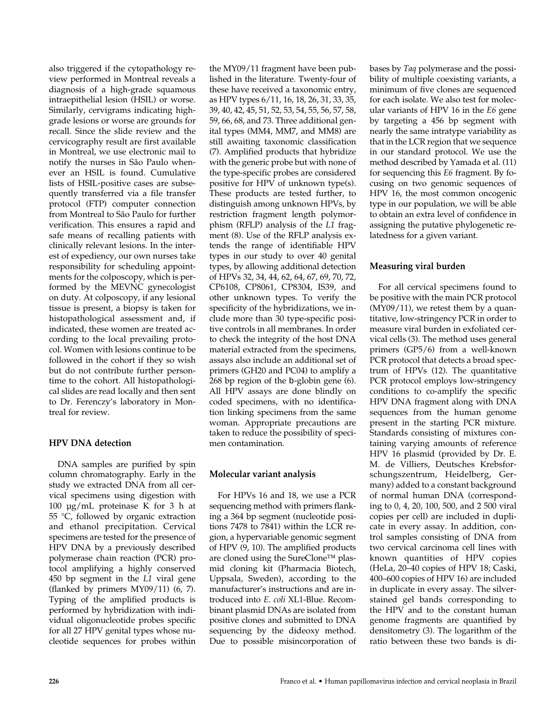also triggered if the cytopathology review performed in Montreal reveals a diagnosis of a high-grade squamous intraepithelial lesion (HSIL) or worse. Similarly, cervigrams indicating highgrade lesions or worse are grounds for recall. Since the slide review and the cervicography result are first available in Montreal, we use electronic mail to notify the nurses in São Paulo whenever an HSIL is found. Cumulative lists of HSIL-positive cases are subsequently transferred via a file transfer protocol (FTP) computer connection from Montreal to São Paulo for further verification. This ensures a rapid and safe means of recalling patients with clinically relevant lesions. In the interest of expediency, our own nurses take responsibility for scheduling appointments for the colposcopy, which is performed by the MEVNC gynecologist on duty. At colposcopy, if any lesional tissue is present, a biopsy is taken for histopathological assessment and, if indicated, these women are treated according to the local prevailing protocol. Women with lesions continue to be followed in the cohort if they so wish but do not contribute further persontime to the cohort. All histopathological slides are read locally and then sent to Dr. Ferenczy's laboratory in Montreal for review.

### **HPV DNA detection**

DNA samples are purified by spin column chromatography. Early in the study we extracted DNA from all cervical specimens using digestion with 100 µg/mL proteinase K for 3 h at 55 °C, followed by organic extraction and ethanol precipitation. Cervical specimens are tested for the presence of HPV DNA by a previously described polymerase chain reaction (PCR) protocol amplifying a highly conserved 450 bp segment in the *L1* viral gene (flanked by primers  $MY09/11$ ) (6, 7). Typing of the amplified products is performed by hybridization with individual oligonucleotide probes specific for all 27 HPV genital types whose nucleotide sequences for probes within

the MY09/11 fragment have been published in the literature. Twenty-four of these have received a taxonomic entry, as HPV types 6/11, 16, 18, 26, 31, 33, 35, 39, 40, 42, 45, 51, 52, 53, 54, 55, 56, 57, 58, 59, 66, 68, and 73. Three additional genital types (MM4, MM7, and MM8) are still awaiting taxonomic classification (7). Amplified products that hybridize with the generic probe but with none of the type-specific probes are considered positive for HPV of unknown type(s). These products are tested further, to distinguish among unknown HPVs, by restriction fragment length polymorphism (RFLP) analysis of the *L1* fragment (8). Use of the RFLP analysis extends the range of identifiable HPV types in our study to over 40 genital types, by allowing additional detection of HPVs 32, 34, 44, 62, 64, 67, 69, 70, 72, CP6108, CP8061, CP8304, IS39, and other unknown types. To verify the specificity of the hybridizations, we include more than 30 type-specific positive controls in all membranes. In order to check the integrity of the host DNA material extracted from the specimens, assays also include an additional set of primers (GH20 and PC04) to amplify a 268 bp region of the b-globin gene (6). All HPV assays are done blindly on coded specimens, with no identification linking specimens from the same woman. Appropriate precautions are taken to reduce the possibility of specimen contamination.

# **Molecular variant analysis**

For HPVs 16 and 18, we use a PCR sequencing method with primers flanking a 364 bp segment (nucleotide positions 7478 to 7841) within the LCR region, a hypervariable genomic segment of HPV (9, 10). The amplified products are cloned using the SureClone™ plasmid cloning kit (Pharmacia Biotech, Uppsala, Sweden), according to the manufacturer's instructions and are introduced into *E. coli* XL1-Blue. Recombinant plasmid DNAs are isolated from positive clones and submitted to DNA sequencing by the dideoxy method. Due to possible misincorporation of

bases by *Taq* polymerase and the possibility of multiple coexisting variants, a minimum of five clones are sequenced for each isolate. We also test for molecular variants of HPV 16 in the *E6* gene by targeting a 456 bp segment with nearly the same intratype variability as that in the LCR region that we sequence in our standard protocol. We use the method described by Yamada et al. (11) for sequencing this *E6* fragment. By focusing on two genomic sequences of HPV 16, the most common oncogenic type in our population, we will be able to obtain an extra level of confidence in assigning the putative phylogenetic relatedness for a given variant.

# **Measuring viral burden**

For all cervical specimens found to be positive with the main PCR protocol (MY09/11), we retest them by a quantitative, low-stringency PCR in order to measure viral burden in exfoliated cervical cells (3). The method uses general primers (GP5/6) from a well-known PCR protocol that detects a broad spectrum of HPVs (12). The quantitative PCR protocol employs low-stringency conditions to co-amplify the specific HPV DNA fragment along with DNA sequences from the human genome present in the starting PCR mixture. Standards consisting of mixtures containing varying amounts of reference HPV 16 plasmid (provided by Dr. E. M. de Villiers, Deutsches Krebsforschungszentrum, Heidelberg, Germany) added to a constant background of normal human DNA (corresponding to 0, 4, 20, 100, 500, and 2 500 viral copies per cell) are included in duplicate in every assay. In addition, control samples consisting of DNA from two cervical carcinoma cell lines with known quantities of HPV copies (HeLa, 20–40 copies of HPV 18; Caski, 400–600 copies of HPV 16) are included in duplicate in every assay. The silverstained gel bands corresponding to the HPV and to the constant human genome fragments are quantified by densitometry (3). The logarithm of the ratio between these two bands is di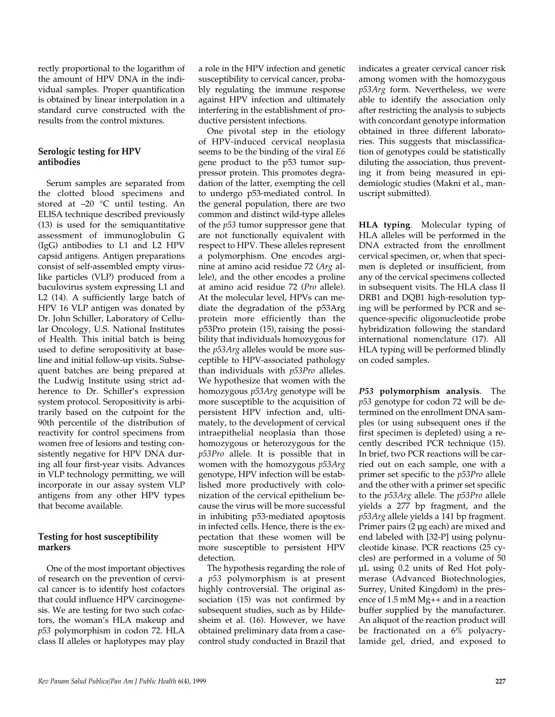rectly proportional to the logarithm of the amount of HPV DNA in the individual samples. Proper quantification is obtained by linear interpolation in a standard curve constructed with the results from the control mixtures.

### **Serologic testing for HPV antibodies**

Serum samples are separated from the clotted blood specimens and stored at –20 °C until testing. An ELISA technique described previously (13) is used for the semiquantitative assessment of immunoglobulin G (IgG) antibodies to L1 and L2 HPV capsid antigens. Antigen preparations consist of self-assembled empty viruslike particles (VLP) produced from a baculovirus system expressing L1 and L2 (14). A sufficiently large batch of HPV 16 VLP antigen was donated by Dr. John Schiller, Laboratory of Cellular Oncology, U.S. National Institutes of Health. This initial batch is being used to define seropositivity at baseline and initial follow-up visits. Subsequent batches are being prepared at the Ludwig Institute using strict adherence to Dr. Schiller's expression system protocol. Seropositivity is arbitrarily based on the cutpoint for the 90th percentile of the distribution of reactivity for control specimens from women free of lesions and testing consistently negative for HPV DNA during all four first-year visits. Advances in VLP technology permitting, we will incorporate in our assay system VLP antigens from any other HPV types that become available.

# **Testing for host susceptibility markers**

One of the most important objectives of research on the prevention of cervical cancer is to identify host cofactors that could influence HPV carcinogenesis. We are testing for two such cofactors, the woman's HLA makeup and *p53* polymorphism in codon 72. HLA class II alleles or haplotypes may play

a role in the HPV infection and genetic susceptibility to cervical cancer, probably regulating the immune response against HPV infection and ultimately interfering in the establishment of productive persistent infections.

One pivotal step in the etiology of HPV-induced cervical neoplasia seems to be the binding of the viral *E6* gene product to the p53 tumor suppressor protein. This promotes degradation of the latter, exempting the cell to undergo p53-mediated control. In the general population, there are two common and distinct wild-type alleles of the *p53* tumor suppressor gene that are not functionally equivalent with respect to HPV. These alleles represent a polymorphism. One encodes arginine at amino acid residue 72 (*Arg* allele), and the other encodes a proline at amino acid residue 72 (*Pro* allele). At the molecular level, HPVs can mediate the degradation of the p53Arg protein more efficiently than the p53Pro protein (15), raising the possibility that individuals homozygous for the *p53Arg* alleles would be more susceptible to HPV-associated pathology than individuals with *p53Pro* alleles. We hypothesize that women with the homozygous *p53Arg* genotype will be more susceptible to the acquisition of persistent HPV infection and, ultimately, to the development of cervical intraepithelial neoplasia than those homozygous or heterozygous for the *p53Pro* allele. It is possible that in women with the homozygous *p53Arg* genotype, HPV infection will be established more productively with colonization of the cervical epithelium because the virus will be more successful in inhibiting p53-mediated apoptosis in infected cells. Hence, there is the expectation that these women will be more susceptible to persistent HPV detection.

The hypothesis regarding the role of a *p53* polymorphism is at present highly controversial. The original association (15) was not confirmed by subsequent studies, such as by Hildesheim et al. (16). However, we have obtained preliminary data from a casecontrol study conducted in Brazil that

indicates a greater cervical cancer risk among women with the homozygous *p53Arg* form. Nevertheless, we were able to identify the association only after restricting the analysis to subjects with concordant genotype information obtained in three different laboratories. This suggests that misclassification of genotypes could be statistically diluting the association, thus preventing it from being measured in epidemiologic studies (Makni et al., manuscript submitted).

**HLA typing**. Molecular typing of HLA alleles will be performed in the DNA extracted from the enrollment cervical specimen, or, when that specimen is depleted or insufficient, from any of the cervical specimens collected in subsequent visits. The HLA class II DRB1 and DQB1 high-resolution typing will be performed by PCR and sequence-specific oligonucleotide probe hybridization following the standard international nomenclature (17). All HLA typing will be performed blindly on coded samples.

*P53* **polymorphism analysis**. The *p53* genotype for codon 72 will be determined on the enrollment DNA samples (or using subsequent ones if the first specimen is depleted) using a recently described PCR technique (15). In brief, two PCR reactions will be carried out on each sample, one with a primer set specific to the *p53Pro* allele and the other with a primer set specific to the *p53Arg* allele. The *p53Pro* allele yields a 277 bp fragment, and the *p53Arg* allele yields a 141 bp fragment. Primer pairs (2 µg each) are mixed and end labeled with [32-P] using polynucleotide kinase. PCR reactions (25 cycles) are performed in a volume of 50 µL using 0.2 units of Red Hot polymerase (Advanced Biotechnologies, Surrey, United Kingdom) in the presence of 1.5 mM Mg++ and in a reaction buffer supplied by the manufacturer. An aliquot of the reaction product will be fractionated on a 6% polyacrylamide gel, dried, and exposed to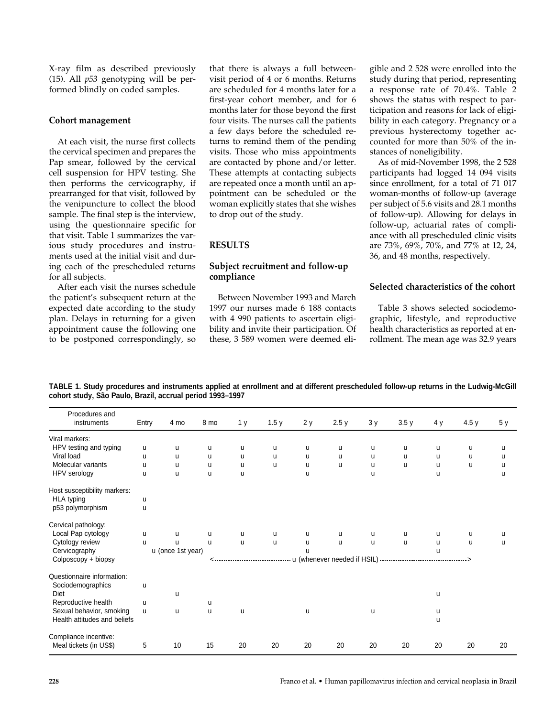X-ray film as described previously (15). All *p53* genotyping will be performed blindly on coded samples.

### **Cohort management**

At each visit, the nurse first collects the cervical specimen and prepares the Pap smear, followed by the cervical cell suspension for HPV testing. She then performs the cervicography, if prearranged for that visit, followed by the venipuncture to collect the blood sample. The final step is the interview, using the questionnaire specific for that visit. Table 1 summarizes the various study procedures and instruments used at the initial visit and during each of the prescheduled returns for all subjects.

After each visit the nurses schedule the patient's subsequent return at the expected date according to the study plan. Delays in returning for a given appointment cause the following one to be postponed correspondingly, so

that there is always a full betweenvisit period of 4 or 6 months. Returns are scheduled for 4 months later for a first-year cohort member, and for 6 months later for those beyond the first four visits. The nurses call the patients a few days before the scheduled returns to remind them of the pending visits. Those who miss appointments are contacted by phone and/or letter. These attempts at contacting subjects are repeated once a month until an appointment can be scheduled or the woman explicitly states that she wishes to drop out of the study.

### **RESULTS**

### **Subject recruitment and follow-up compliance**

Between November 1993 and March 1997 our nurses made 6 188 contacts with 4 990 patients to ascertain eligibility and invite their participation. Of these, 3 589 women were deemed eligible and 2 528 were enrolled into the study during that period, representing a response rate of 70.4%. Table 2 shows the status with respect to participation and reasons for lack of eligibility in each category. Pregnancy or a previous hysterectomy together accounted for more than 50% of the instances of noneligibility.

As of mid-November 1998, the 2 528 participants had logged 14 094 visits since enrollment, for a total of 71 017 woman-months of follow-up (average per subject of 5.6 visits and 28.1 months of follow-up). Allowing for delays in follow-up, actuarial rates of compliance with all prescheduled clinic visits are 73%, 69%, 70%, and 77% at 12, 24, 36, and 48 months, respectively.

### **Selected characteristics of the cohort**

Table 3 shows selected sociodemographic, lifestyle, and reproductive health characteristics as reported at enrollment. The mean age was 32.9 years

**TABLE 1. Study procedures and instruments applied at enrollment and at different prescheduled follow-up returns in the Ludwig-McGill cohort study, São Paulo, Brazil, accrual period 1993–1997**

| Procedures and<br>instruments                   | Entry | 4 mo              | 8 mo | 1 <sub>y</sub> | 1.5y | 2 y | 2.5y                            | 3y | 3.5y | 4 y | 4.5y | 5 y |
|-------------------------------------------------|-------|-------------------|------|----------------|------|-----|---------------------------------|----|------|-----|------|-----|
|                                                 |       |                   |      |                |      |     |                                 |    |      |     |      |     |
| Viral markers:                                  |       |                   |      |                |      |     |                                 |    |      |     |      |     |
| HPV testing and typing                          | u     | u                 | u    | u              | u    | u   | u                               | u  | u    | u   | u    | u   |
| Viral load                                      | u     | u                 | u    | u              | u    | u   | u                               | u  | u    | u   | u    | u   |
| Molecular variants                              | u     | u                 | u    | u              | u    | u   | u                               | u  | u    | u   | u    | u   |
| HPV serology                                    | u     | u                 | u    | u              |      | u   |                                 | u  |      | u   |      | u   |
| Host susceptibility markers:                    |       |                   |      |                |      |     |                                 |    |      |     |      |     |
| HLA typing                                      | u     |                   |      |                |      |     |                                 |    |      |     |      |     |
| p53 polymorphism                                | u     |                   |      |                |      |     |                                 |    |      |     |      |     |
| Cervical pathology:                             |       |                   |      |                |      |     |                                 |    |      |     |      |     |
| Local Pap cytology                              | u     | u                 | u    | u              | u    | u   | u                               | u  | u    | u   | u    | u   |
| Cytology review                                 | u     | $\mathbf{u}$      | u    | u              | u    | u   | u                               | u  | u    | u   | u    | u   |
| Cervicography                                   |       | u (once 1st year) |      |                |      | u   |                                 |    |      | u   |      |     |
| Colposcopy + biopsy                             |       |                   |      |                |      |     | u (whenever needed if HSIL) --- |    |      |     |      |     |
| Questionnaire information:<br>Sociodemographics | u     |                   |      |                |      |     |                                 |    |      |     |      |     |
| Diet                                            |       | u                 |      |                |      |     |                                 |    |      | u   |      |     |
| Reproductive health                             | u     |                   | u    |                |      |     |                                 |    |      |     |      |     |
| Sexual behavior, smoking                        | u     | u                 | u    | u              |      | u   |                                 | u  |      | u   |      |     |
| Health attitudes and beliefs                    |       |                   |      |                |      |     |                                 |    |      | u   |      |     |
| Compliance incentive:                           |       |                   |      |                |      |     |                                 |    |      |     |      |     |
| Meal tickets (in US\$)                          | 5     | 10                | 15   | 20             | 20   | 20  | 20                              | 20 | 20   | 20  | 20   | 20  |
|                                                 |       |                   |      |                |      |     |                                 |    |      |     |      |     |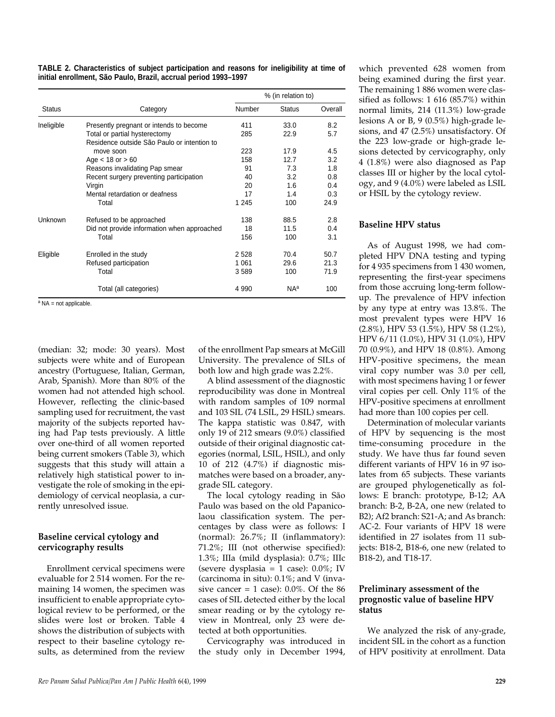| TABLE 2. Characteristics of subject participation and reasons for ineligibility at time of |  |  |
|--------------------------------------------------------------------------------------------|--|--|
| initial enrollment, São Paulo, Brazil, accrual period 1993-1997                            |  |  |

|                |                                             | % (in relation to) |                 |         |  |
|----------------|---------------------------------------------|--------------------|-----------------|---------|--|
| <b>Status</b>  | Category                                    | Number             | <b>Status</b>   | Overall |  |
| Ineligible     | Presently pregnant or intends to become     | 411                | 33.0            | 8.2     |  |
|                | Total or partial hysterectomy               | 285                | 22.9            | 5.7     |  |
|                | Residence outside São Paulo or intention to |                    |                 |         |  |
|                | move soon                                   | 223                | 17.9            | 4.5     |  |
|                | Age $<$ 18 or $> 60$                        | 158                | 12.7            | 3.2     |  |
|                | Reasons invalidating Pap smear              | 91                 | 7.3             | 1.8     |  |
|                | Recent surgery preventing participation     | 40                 | 3.2             | 0.8     |  |
|                | Virgin                                      | 20                 | 1.6             | 0.4     |  |
|                | Mental retardation or deafness              | 17                 | 1.4             | 0.3     |  |
|                | Total                                       | 1 2 4 5            | 100             | 24.9    |  |
| <b>Unknown</b> | Refused to be approached                    | 138                | 88.5            | 2.8     |  |
|                | Did not provide information when approached | 18                 | 11.5            | 0.4     |  |
|                | Total                                       | 156                | 100             | 3.1     |  |
| Eligible       | Enrolled in the study                       | 2528               | 70.4            | 50.7    |  |
|                | Refused participation                       | 1 0 6 1            | 29.6            | 21.3    |  |
|                | Total                                       | 3589               | 100             | 71.9    |  |
|                | Total (all categories)                      | 4 9 9 0            | NA <sup>a</sup> | 100     |  |

<sup>a</sup> NA = not applicable.

(median: 32; mode: 30 years). Most subjects were white and of European ancestry (Portuguese, Italian, German, Arab, Spanish). More than 80% of the women had not attended high school. However, reflecting the clinic-based sampling used for recruitment, the vast majority of the subjects reported having had Pap tests previously. A little over one-third of all women reported being current smokers (Table 3), which suggests that this study will attain a relatively high statistical power to investigate the role of smoking in the epidemiology of cervical neoplasia, a currently unresolved issue.

### **Baseline cervical cytology and cervicography results**

Enrollment cervical specimens were evaluable for 2 514 women. For the remaining 14 women, the specimen was insufficient to enable appropriate cytological review to be performed, or the slides were lost or broken. Table 4 shows the distribution of subjects with respect to their baseline cytology results, as determined from the review of the enrollment Pap smears at McGill University. The prevalence of SILs of both low and high grade was 2.2%.

A blind assessment of the diagnostic reproducibility was done in Montreal with random samples of 109 normal and 103 SIL (74 LSIL, 29 HSIL) smears. The kappa statistic was 0.847, with only 19 of 212 smears (9.0%) classified outside of their original diagnostic categories (normal, LSIL, HSIL), and only 10 of 212 (4.7%) if diagnostic mismatches were based on a broader, anygrade SIL category.

The local cytology reading in São Paulo was based on the old Papanicolaou classification system. The percentages by class were as follows: I (normal): 26.7%; II (inflammatory): 71.2%; III (not otherwise specified): 1.3%; IIIa (mild dysplasia): 0.7%; IIIc (severe dysplasia = 1 case): 0.0%; IV (carcinoma in situ): 0.1%; and V (invasive cancer = 1 case):  $0.0\%$ . Of the 86 cases of SIL detected either by the local smear reading or by the cytology review in Montreal, only 23 were detected at both opportunities.

Cervicography was introduced in the study only in December 1994, which prevented 628 women from being examined during the first year. The remaining 1 886 women were classified as follows: 1 616 (85.7%) within normal limits, 214 (11.3%) low-grade lesions A or B, 9 (0.5%) high-grade lesions, and 47 (2.5%) unsatisfactory. Of the 223 low-grade or high-grade lesions detected by cervicography, only 4 (1.8%) were also diagnosed as Pap classes III or higher by the local cytology, and 9 (4.0%) were labeled as LSIL or HSIL by the cytology review.

### **Baseline HPV status**

As of August 1998, we had completed HPV DNA testing and typing for 4 935 specimens from 1 430 women, representing the first-year specimens from those accruing long-term followup. The prevalence of HPV infection by any type at entry was 13.8%. The most prevalent types were HPV 16 (2.8%), HPV 53 (1.5%), HPV 58 (1.2%), HPV 6/11 (1.0%), HPV 31 (1.0%), HPV 70 (0.9%), and HPV 18 (0.8%). Among HPV-positive specimens, the mean viral copy number was 3.0 per cell, with most specimens having 1 or fewer viral copies per cell. Only 11% of the HPV-positive specimens at enrollment had more than 100 copies per cell.

Determination of molecular variants of HPV by sequencing is the most time-consuming procedure in the study. We have thus far found seven different variants of HPV 16 in 97 isolates from 65 subjects. These variants are grouped phylogenetically as follows: E branch: prototype, B-12; AA branch: B-2, B-2A, one new (related to B2); Af2 branch: S21-A; and As branch: AC-2. Four variants of HPV 18 were identified in 27 isolates from 11 subjects: B18-2, B18-6, one new (related to B18-2), and T18-17.

### **Preliminary assessment of the prognostic value of baseline HPV status**

We analyzed the risk of any-grade, incident SIL in the cohort as a function of HPV positivity at enrollment. Data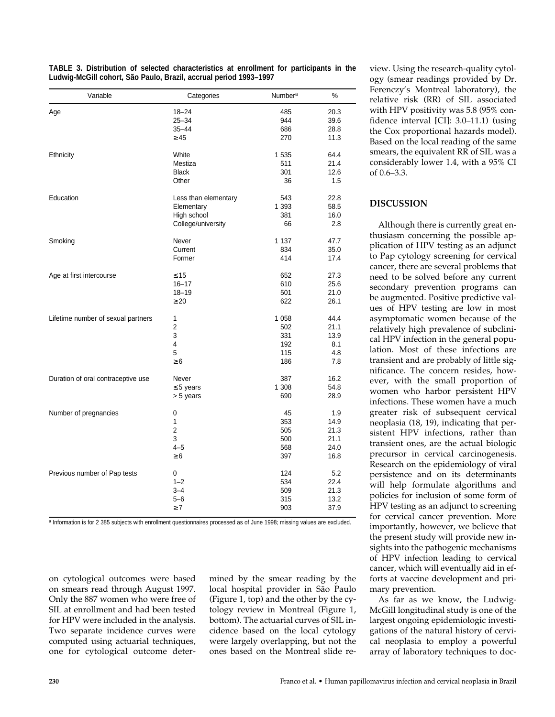| Variable                           | Categories           | <b>Number<sup>a</sup></b> | %    |
|------------------------------------|----------------------|---------------------------|------|
| Age                                | $18 - 24$            | 485                       | 20.3 |
|                                    | $25 - 34$            | 944                       | 39.6 |
|                                    | $35 - 44$            | 686                       | 28.8 |
|                                    | $\geq 45$            | 270                       | 11.3 |
| Ethnicity                          | White                | 1 5 3 5                   | 64.4 |
|                                    | Mestiza              | 511                       | 21.4 |
|                                    | <b>Black</b>         | 301                       | 12.6 |
|                                    | Other                | 36                        | 1.5  |
| Education                          | Less than elementary | 543                       | 22.8 |
|                                    | Elementary           | 1 3 9 3                   | 58.5 |
|                                    | High school          | 381                       | 16.0 |
|                                    | College/university   | 66                        | 2.8  |
| Smoking                            | Never                | 1 1 3 7                   | 47.7 |
|                                    | Current              | 834                       | 35.0 |
|                                    | Former               | 414                       | 17.4 |
| Age at first intercourse           | $\leq 15$            | 652                       | 27.3 |
|                                    | $16 - 17$            | 610                       | 25.6 |
|                                    | $18 - 19$            | 501                       | 21.0 |
|                                    | $\geq 20$            | 622                       | 26.1 |
| Lifetime number of sexual partners | 1                    | 1 0 5 8                   | 44.4 |
|                                    | $\overline{2}$       | 502                       | 21.1 |
|                                    | 3                    | 331                       | 13.9 |
|                                    | 4                    | 192                       | 8.1  |
|                                    | 5                    | 115                       | 4.8  |
|                                    | $\geq 6$             | 186                       | 7.8  |
| Duration of oral contraceptive use | Never                | 387                       | 16.2 |
|                                    | $\leq$ 5 years       | 1 308                     | 54.8 |
|                                    | > 5 years            | 690                       | 28.9 |
| Number of pregnancies              | 0                    | 45                        | 1.9  |
|                                    | 1                    | 353                       | 14.9 |
|                                    | $\overline{2}$       | 505                       | 21.3 |
|                                    | 3                    | 500                       | 21.1 |
|                                    | $4 - 5$              | 568                       | 24.0 |
|                                    | $\geq 6$             | 397                       | 16.8 |
| Previous number of Pap tests       | 0                    | 124                       | 5.2  |
|                                    | $1 - 2$              | 534                       | 22.4 |
|                                    | $3 - 4$              | 509                       | 21.3 |
|                                    | $5 - 6$              | 315                       | 13.2 |
|                                    | $\geq 7$             | 903                       | 37.9 |

**TABLE 3. Distribution of selected characteristics at enrollment for participants in the Ludwig-McGill cohort, São Paulo, Brazil, accrual period 1993–1997**

a Information is for 2 385 subjects with enrollment questionnaires processed as of June 1998; missing values are excluded.

on cytological outcomes were based on smears read through August 1997. Only the 887 women who were free of SIL at enrollment and had been tested for HPV were included in the analysis. Two separate incidence curves were computed using actuarial techniques, one for cytological outcome determined by the smear reading by the local hospital provider in São Paulo (Figure 1, top) and the other by the cytology review in Montreal (Figure 1, bottom). The actuarial curves of SIL incidence based on the local cytology were largely overlapping, but not the ones based on the Montreal slide review. Using the research-quality cytology (smear readings provided by Dr. Ferenczy's Montreal laboratory), the relative risk (RR) of SIL associated with HPV positivity was 5.8 (95% confidence interval [CI]: 3.0–11.1) (using the Cox proportional hazards model). Based on the local reading of the same smears, the equivalent RR of SIL was a considerably lower 1.4, with a 95% CI of 0.6–3.3.

# **DISCUSSION**

Although there is currently great enthusiasm concerning the possible application of HPV testing as an adjunct to Pap cytology screening for cervical cancer, there are several problems that need to be solved before any current secondary prevention programs can be augmented. Positive predictive values of HPV testing are low in most asymptomatic women because of the relatively high prevalence of subclinical HPV infection in the general population. Most of these infections are transient and are probably of little significance. The concern resides, however, with the small proportion of women who harbor persistent HPV infections. These women have a much greater risk of subsequent cervical neoplasia (18, 19), indicating that persistent HPV infections, rather than transient ones, are the actual biologic precursor in cervical carcinogenesis. Research on the epidemiology of viral persistence and on its determinants will help formulate algorithms and policies for inclusion of some form of HPV testing as an adjunct to screening for cervical cancer prevention. More importantly, however, we believe that the present study will provide new insights into the pathogenic mechanisms of HPV infection leading to cervical cancer, which will eventually aid in efforts at vaccine development and primary prevention.

As far as we know, the Ludwig-McGill longitudinal study is one of the largest ongoing epidemiologic investigations of the natural history of cervical neoplasia to employ a powerful array of laboratory techniques to doc-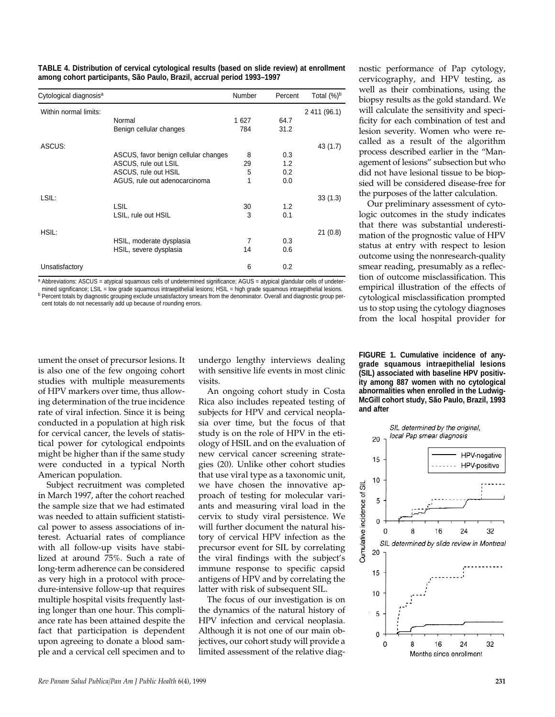**TABLE 4. Distribution of cervical cytological results (based on slide review) at enrollment among cohort participants, São Paulo, Brazil, accrual period 1993–1997**

| Cytological diagnosis <sup>a</sup> |                                      | Number | Percent | Total $(\%)^b$ |
|------------------------------------|--------------------------------------|--------|---------|----------------|
| Within normal limits:              |                                      |        |         | 2 411 (96.1)   |
|                                    | Normal                               | 1 627  | 64.7    |                |
|                                    | Benign cellular changes              | 784    | 31.2    |                |
| ASCUS:                             |                                      |        |         | 43 (1.7)       |
|                                    | ASCUS, favor benign cellular changes | 8      | 0.3     |                |
|                                    | ASCUS, rule out LSIL                 | 29     | 1.2     |                |
|                                    | ASCUS, rule out HSIL                 | 5      | 0.2     |                |
|                                    | AGUS, rule out adenocarcinoma        | 1      | 0.0     |                |
| LSIL:                              |                                      |        |         | 33(1.3)        |
|                                    | <b>LSIL</b>                          | 30     | 1.2     |                |
|                                    | LSIL, rule out HSIL                  | 3      | 0.1     |                |
| HSIL:                              |                                      |        |         | 21(0.8)        |
|                                    | HSIL, moderate dysplasia             | 7      | 0.3     |                |
|                                    | HSIL, severe dysplasia               | 14     | 0.6     |                |
| Unsatisfactory                     |                                      | 6      | 0.2     |                |

a Abbreviations: ASCUS = atypical squamous cells of undetermined significance; AGUS = atypical glandular cells of undetermined significance; LSIL = low grade squamous intraepithelial lesions; HSIL = high grade squamous intraepithelial lesions.

**b** Percent totals by diagnostic grouping exclude unsatisfactory smears from the denominator. Overall and diagnostic group percent totals do not necessarily add up because of rounding errors.

ument the onset of precursor lesions. It is also one of the few ongoing cohort studies with multiple measurements of HPV markers over time, thus allowing determination of the true incidence rate of viral infection. Since it is being conducted in a population at high risk for cervical cancer, the levels of statistical power for cytological endpoints might be higher than if the same study were conducted in a typical North American population.

Subject recruitment was completed in March 1997, after the cohort reached the sample size that we had estimated was needed to attain sufficient statistical power to assess associations of interest. Actuarial rates of compliance with all follow-up visits have stabilized at around 75%. Such a rate of long-term adherence can be considered as very high in a protocol with procedure-intensive follow-up that requires multiple hospital visits frequently lasting longer than one hour. This compliance rate has been attained despite the fact that participation is dependent upon agreeing to donate a blood sample and a cervical cell specimen and to

undergo lengthy interviews dealing with sensitive life events in most clinic visits.

An ongoing cohort study in Costa Rica also includes repeated testing of subjects for HPV and cervical neoplasia over time, but the focus of that study is on the role of HPV in the etiology of HSIL and on the evaluation of new cervical cancer screening strategies (20). Unlike other cohort studies that use viral type as a taxonomic unit, we have chosen the innovative approach of testing for molecular variants and measuring viral load in the cervix to study viral persistence. We will further document the natural history of cervical HPV infection as the precursor event for SIL by correlating the viral findings with the subject's immune response to specific capsid antigens of HPV and by correlating the latter with risk of subsequent SIL.

The focus of our investigation is on the dynamics of the natural history of HPV infection and cervical neoplasia. Although it is not one of our main objectives, our cohort study will provide a limited assessment of the relative diagnostic performance of Pap cytology, cervicography, and HPV testing, as well as their combinations, using the biopsy results as the gold standard. We will calculate the sensitivity and specificity for each combination of test and lesion severity. Women who were recalled as a result of the algorithm process described earlier in the "Management of lesions" subsection but who did not have lesional tissue to be biopsied will be considered disease-free for the purposes of the latter calculation.

Our preliminary assessment of cytologic outcomes in the study indicates that there was substantial underestimation of the prognostic value of HPV status at entry with respect to lesion outcome using the nonresearch-quality smear reading, presumably as a reflection of outcome misclassification. This empirical illustration of the effects of cytological misclassification prompted us to stop using the cytology diagnoses from the local hospital provider for

**FIGURE 1. Cumulative incidence of anygrade squamous intraepithelial lesions (SIL) associated with baseline HPV positivity among 887 women with no cytological abnormalities when enrolled in the Ludwig-McGill cohort study, São Paulo, Brazil, 1993 and after**

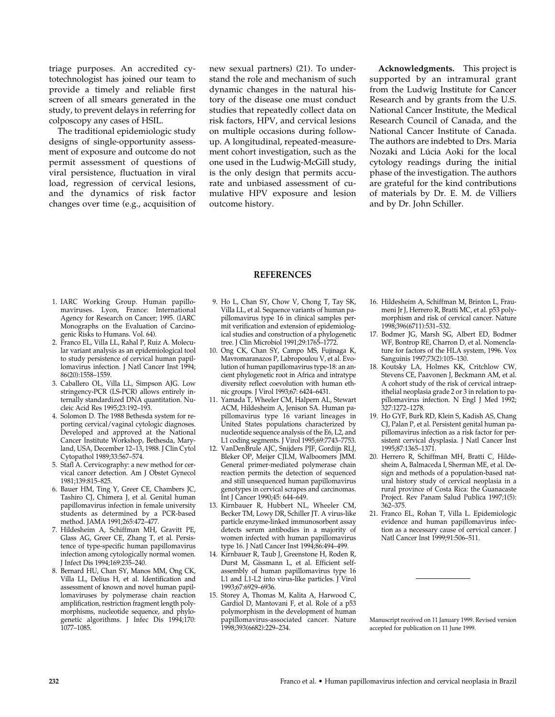triage purposes. An accredited cytotechnologist has joined our team to provide a timely and reliable first screen of all smears generated in the study, to prevent delays in referring for colposcopy any cases of HSIL.

The traditional epidemiologic study designs of single-opportunity assessment of exposure and outcome do not permit assessment of questions of viral persistence, fluctuation in viral load, regression of cervical lesions, and the dynamics of risk factor changes over time (e.g., acquisition of new sexual partners) (21). To understand the role and mechanism of such dynamic changes in the natural history of the disease one must conduct studies that repeatedly collect data on risk factors, HPV, and cervical lesions on multiple occasions during followup. A longitudinal, repeated-measurement cohort investigation, such as the one used in the Ludwig-McGill study, is the only design that permits accurate and unbiased assessment of cumulative HPV exposure and lesion outcome history.

**Acknowledgments.** This project is supported by an intramural grant from the Ludwig Institute for Cancer Research and by grants from the U.S. National Cancer Institute, the Medical Research Council of Canada, and the National Cancer Institute of Canada. The authors are indebted to Drs. Maria Nozaki and Lúcia Aoki for the local cytology readings during the initial phase of the investigation. The authors are grateful for the kind contributions of materials by Dr. E. M. de Villiers and by Dr. John Schiller.

### **REFERENCES**

- 1. IARC Working Group. Human papillomaviruses. Lyon, France: International Agency for Research on Cancer; 1995. (IARC Monographs on the Evaluation of Carcinogenic Risks to Humans. Vol. 64).
- 2. Franco EL, Villa LL, Rahal P, Ruiz A. Molecular variant analysis as an epidemiological tool to study persistence of cervical human papillomavirus infection. J Natl Cancer Inst 1994; 86(20):1558–1559.
- 3. Caballero OL, Villa LL, Simpson AJG. Low stringency-PCR (LS-PCR) allows entirely internally standardized DNA quantitation. Nucleic Acid Res 1995;23:192–193.
- 4. Solomon D. The 1988 Bethesda system for reporting cervical/vaginal cytologic diagnoses. Developed and approved at the National Cancer Institute Workshop, Bethesda, Maryland, USA, December 12–13, 1988. J Clin Cytol Cytopathol 1989;33:567–574.
- 5. Stafl A. Cervicography: a new method for cervical cancer detection. Am J Obstet Gynecol 1981;139:815–825.
- 6. Bauer HM, Ting Y, Greer CE, Chambers JC, Tashiro CJ, Chimera J, et al. Genital human papillomavirus infection in female university students as determined by a PCR-based method. JAMA 1991;265:472–477.
- 7. Hildesheim A, Schiffman MH, Gravitt PE, Glass AG, Greer CE, Zhang T, et al. Persistence of type-specific human papillomavirus infection among cytologically normal women. J Infect Dis 1994;169:235–240.
- 8. Bernard HU, Chan SY, Manos MM, Ong CK, Villa LL, Delius H, et al. Identification and assessment of known and novel human papillomaviruses by polymerase chain reaction amplification, restriction fragment length polymorphisms, nucleotide sequence, and phylogenetic algorithms. J Infec Dis 1994;170: 1077–1085.
- 9. Ho L, Chan SY, Chow V, Chong T, Tay SK, Villa LL, et al. Sequence variants of human papillomavirus type 16 in clinical samples permit verification and extension of epidemiological studies and construction of a phylogenetic tree. J Clin Microbiol 1991;29:1765–1772.
- 10. Ong CK, Chan SY, Campo MS, Fujinaga K, Mavromaranazos P, Labropoulou V, et al. Evolution of human papillomavirus type-18: an ancient phylogenetic root in Africa and intratype diversity reflect coevolution with human ethnic groups. J Virol 1993;67: 6424–6431.
- 11. Yamada T, Wheeler CM, Halpern AL, Stewart ACM, Hildesheim A, Jenison SA. Human papillomavirus type 16 variant lineages in United States populations characterized by nucleotide sequence analysis of the E6, L2, and L1 coding segments. J Virol 1995;69:7743–7753.
- 12. VanDenBrule AJC, Snijders PJF, Gordijn RLJ, Bleker OP, Meijer CJLM, Walboomers JMM. General primer-mediated polymerase chain reaction permits the detection of sequenced and still unsequenced human papillomavirus genotypes in cervical scrapes and carcinomas. Int J Cancer 1990;45: 644–649.
- 13. Kirnbauer R, Hubbert NL, Wheeler CM, Becker TM, Lowy DR, Schiller JT. A virus-like particle enzyme-linked immunosorbent assay detects serum antibodies in a majority of women infected with human papillomavirus type 16. J Natl Cancer Inst 1994;86:494–499.
- 14. Kirnbauer R, Taub J, Greenstone H, Roden R, Durst M, Gissmann L, et al. Efficient selfassembly of human papillomavirus type 16 L1 and L1-L2 into virus-like particles. J Virol 1993;67:6929–6936.
- 15. Storey A, Thomas M, Kalita A, Harwood C, Gardiol D, Mantovani F, et al. Role of a p53 polymorphism in the development of human papillomavirus-associated cancer. Nature 1998;393(6682):229–234.
- 16. Hildesheim A, Schiffman M, Brinton L, Fraumeni Jr J, Herrero R, Bratti MC, et al. p53 polymorphism and risk of cervical cancer. Nature 1998;396(6711):531–532.
- 17. Bodmer JG, Marsh SG, Albert ED, Bodmer WF, Bontrop RE, Charron D, et al. Nomenclature for factors of the HLA system, 1996. Vox Sanguinis 1997;73(2):105–130.
- 18. Koutsky LA, Holmes KK, Critchlow CW, Stevens CE, Paavonen J, Beckmann AM, et al. A cohort study of the risk of cervical intraepithelial neoplasia grade 2 or 3 in relation to papillomavirus infection. N Engl J Med 1992; 327:1272–1278.
- 19. Ho GYF, Burk RD, Klein S, Kadish AS, Chang CJ, Palan P, et al. Persistent genital human papillomavirus infection as a risk factor for persistent cervical dysplasia. J Natl Cancer Inst 1995;87:1365–1371.
- 20. Herrero R, Schiffman MH, Bratti C, Hildesheim A, Balmaceda I, Sherman ME, et al. Design and methods of a population-based natural history study of cervical neoplasia in a rural province of Costa Rica: the Guanacaste Project. Rev Panam Salud Publica 1997;1(5): 362–375.
- 21. Franco EL, Rohan T, Villa L. Epidemiologic evidence and human papillomavirus infection as a necessary cause of cervical cancer. J Natl Cancer Inst 1999;91:506–511.

Manuscript received on 11 January 1999. Revised version accepted for publication on 11 June 1999.